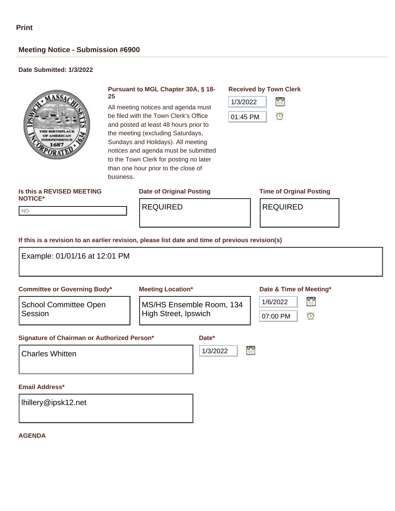NO NO

# **Meeting Notice - Submission #6900**

## **Date Submitted: 1/3/2022**



### **Pursuant to MGL Chapter 30A, § 18- 25**

All meeting notices and agenda must be filed with the Town Clerk's Office and posted at least 48 hours prior to the meeting (excluding Saturdays, Sundays and Holidays). All meeting notices and agenda must be submitted to the Town Clerk for posting no later than one hour prior to the close of business.

## **Is this a REVISED MEETING NOTICE\***

### **Date of Original Posting Time of Orginal Posting**

### **Received by Town Clerk**



REQUIRED REQUIRED

### **If this is a revision to an earlier revision, please list date and time of previous revision(s)**

| <b>Committee or Governing Body*</b>                                   | <b>Meeting Location*</b>                                |                        | Date & Time of Meeting*              |
|-----------------------------------------------------------------------|---------------------------------------------------------|------------------------|--------------------------------------|
| <b>School Committee Open</b><br>Session                               | MS/HS Ensemble Room, 134<br><b>High Street, Ipswich</b> |                        | 晉<br>1/6/2022<br>$\odot$<br>07:00 PM |
| Signature of Chairman or Authorized Person*<br><b>Charles Whitten</b> |                                                         | Date*<br>r<br>1/3/2022 |                                      |
|                                                                       |                                                         |                        |                                      |
|                                                                       |                                                         |                        |                                      |
| <b>Email Address*</b><br>Ihillery@ipsk12.net                          |                                                         |                        |                                      |

### **AGENDA**